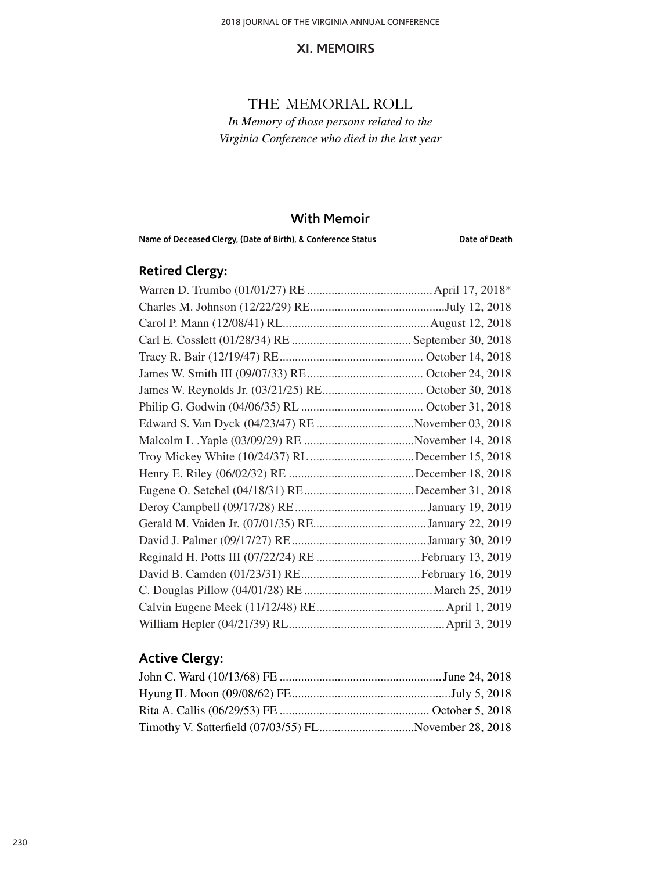#### **XI. MEMOIRS**

# THE MEMORIAL ROLL

*In Memory of those persons related to the Virginia Conference who died in the last year*

### **With Memoir**

Name of Deceased Clergy, (Date of Birth), & Conference Status **Date of Death** 

# **Retired Clergy:**

| Edward S. Van Dyck (04/23/47) RE November 03, 2018 |  |
|----------------------------------------------------|--|
|                                                    |  |
|                                                    |  |
|                                                    |  |
|                                                    |  |
|                                                    |  |
|                                                    |  |
|                                                    |  |
|                                                    |  |
|                                                    |  |
|                                                    |  |
|                                                    |  |
|                                                    |  |

# **Active Clergy:**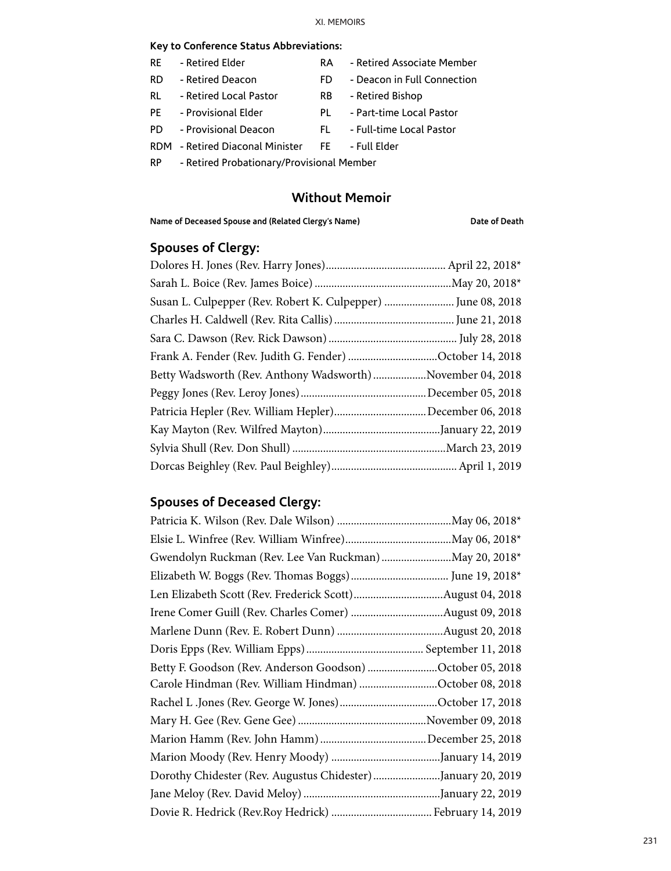#### **Key to Conference Status Abbreviations:**

- RE Retired Elder RA Retired Associate Member RD - Retired Deacon FD - Deacon in Full Connection RL - Retired Local Pastor RB - Retired Bishop PE - Provisional Elder PL - Part-time Local Pastor PD - Provisional Deacon FL - Full-time Local Pastor
- RDM Retired Diaconal Minister FE Full Elder

RP - Retired Probationary/Provisional Member

### **Without Memoir**

**Name of Deceased Spouse and (Related Clergy's Name) Date of Death**

# **Spouses of Clergy:**

| Susan L. Culpepper (Rev. Robert K. Culpepper)  June 08, 2018 |  |
|--------------------------------------------------------------|--|
|                                                              |  |
|                                                              |  |
| Frank A. Fender (Rev. Judith G. Fender) October 14, 2018     |  |
| Betty Wadsworth (Rev. Anthony Wadsworth) November 04, 2018   |  |
|                                                              |  |
|                                                              |  |
|                                                              |  |
|                                                              |  |
|                                                              |  |
|                                                              |  |

# **Spouses of Deceased Clergy:**

| Gwendolyn Ruckman (Rev. Lee Van Ruckman)  May 20, 2018*      |  |
|--------------------------------------------------------------|--|
|                                                              |  |
| Len Elizabeth Scott (Rev. Frederick Scott)August 04, 2018    |  |
| Irene Comer Guill (Rev. Charles Comer) August 09, 2018       |  |
|                                                              |  |
|                                                              |  |
| Betty F. Goodson (Rev. Anderson Goodson) October 05, 2018    |  |
| Carole Hindman (Rev. William Hindman) October 08, 2018       |  |
|                                                              |  |
|                                                              |  |
|                                                              |  |
|                                                              |  |
| Dorothy Chidester (Rev. Augustus Chidester) January 20, 2019 |  |
|                                                              |  |
|                                                              |  |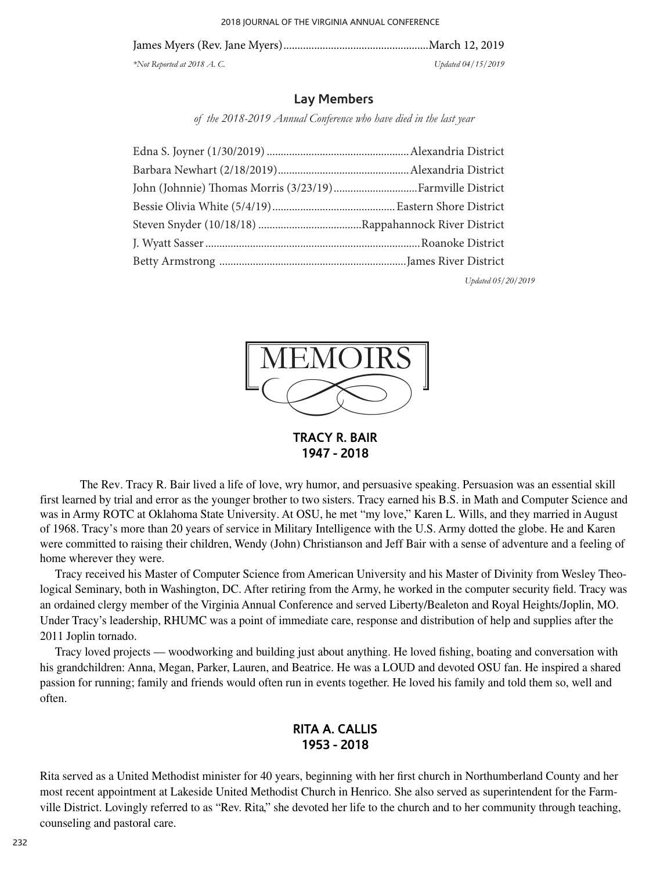James Myers (Rev. Jane Myers)....................................................March 12, 2019 *\*Not Reported at 2018 A. C. Updated 04/15/2019*

#### **Lay Members**

*of the 2018-2019 Annual Conference who have died in the last year*

*Updated 05/20/2019*



**TRACY R. BAIR 1947 - 2018**

The Rev. Tracy R. Bair lived a life of love, wry humor, and persuasive speaking. Persuasion was an essential skill first learned by trial and error as the younger brother to two sisters. Tracy earned his B.S. in Math and Computer Science and was in Army ROTC at Oklahoma State University. At OSU, he met "my love," Karen L. Wills, and they married in August of 1968. Tracy's more than 20 years of service in Military Intelligence with the U.S. Army dotted the globe. He and Karen were committed to raising their children, Wendy (John) Christianson and Jeff Bair with a sense of adventure and a feeling of home wherever they were.

Tracy received his Master of Computer Science from American University and his Master of Divinity from Wesley Theological Seminary, both in Washington, DC. After retiring from the Army, he worked in the computer security field. Tracy was an ordained clergy member of the Virginia Annual Conference and served Liberty/Bealeton and Royal Heights/Joplin, MO. Under Tracy's leadership, RHUMC was a point of immediate care, response and distribution of help and supplies after the 2011 Joplin tornado.

Tracy loved projects — woodworking and building just about anything. He loved fishing, boating and conversation with his grandchildren: Anna, Megan, Parker, Lauren, and Beatrice. He was a LOUD and devoted OSU fan. He inspired a shared passion for running; family and friends would often run in events together. He loved his family and told them so, well and often.

### **RITA A. CALLIS 1953 - 2018**

Rita served as a United Methodist minister for 40 years, beginning with her first church in Northumberland County and her most recent appointment at Lakeside United Methodist Church in Henrico. She also served as superintendent for the Farmville District. Lovingly referred to as "Rev. Rita," she devoted her life to the church and to her community through teaching, counseling and pastoral care.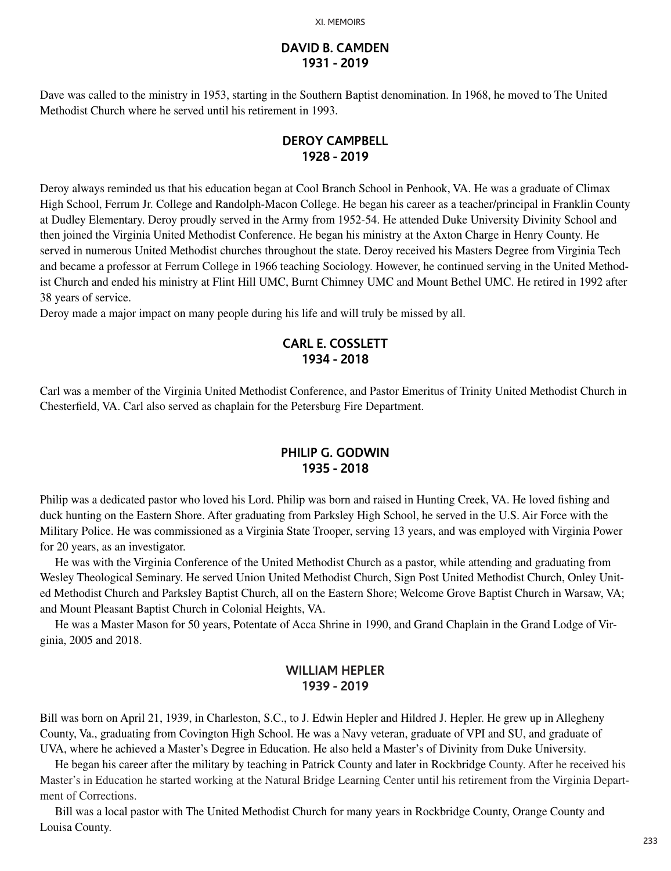#### **DAVID B. CAMDEN 1931 - 2019**

Dave was called to the ministry in 1953, starting in the Southern Baptist denomination. In 1968, he moved to The United Methodist Church where he served until his retirement in 1993.

### **DEROY CAMPBELL 1928 - 2019**

Deroy always reminded us that his education began at Cool Branch School in Penhook, VA. He was a graduate of Climax High School, Ferrum Jr. College and Randolph-Macon College. He began his career as a teacher/principal in Franklin County at Dudley Elementary. Deroy proudly served in the Army from 1952-54. He attended Duke University Divinity School and then joined the Virginia United Methodist Conference. He began his ministry at the Axton Charge in Henry County. He served in numerous United Methodist churches throughout the state. Deroy received his Masters Degree from Virginia Tech and became a professor at Ferrum College in 1966 teaching Sociology. However, he continued serving in the United Methodist Church and ended his ministry at Flint Hill UMC, Burnt Chimney UMC and Mount Bethel UMC. He retired in 1992 after 38 years of service.

Deroy made a major impact on many people during his life and will truly be missed by all.

### **CARL E. COSSLETT 1934 - 2018**

Carl was a member of the Virginia United Methodist Conference, and Pastor Emeritus of Trinity United Methodist Church in Chesterfield, VA. Carl also served as chaplain for the Petersburg Fire Department.

### **PHILIP G. GODWIN 1935 - 2018**

Philip was a dedicated pastor who loved his Lord. Philip was born and raised in Hunting Creek, VA. He loved fishing and duck hunting on the Eastern Shore. After graduating from Parksley High School, he served in the U.S. Air Force with the Military Police. He was commissioned as a Virginia State Trooper, serving 13 years, and was employed with Virginia Power for 20 years, as an investigator.

He was with the Virginia Conference of the United Methodist Church as a pastor, while attending and graduating from Wesley Theological Seminary. He served Union United Methodist Church, Sign Post United Methodist Church, Onley United Methodist Church and Parksley Baptist Church, all on the Eastern Shore; Welcome Grove Baptist Church in Warsaw, VA; and Mount Pleasant Baptist Church in Colonial Heights, VA.

He was a Master Mason for 50 years, Potentate of Acca Shrine in 1990, and Grand Chaplain in the Grand Lodge of Virginia, 2005 and 2018.

#### **WILLIAM HEPLER 1939 - 2019**

Bill was born on April 21, 1939, in Charleston, S.C., to J. Edwin Hepler and Hildred J. Hepler. He grew up in Allegheny County, Va., graduating from Covington High School. He was a Navy veteran, graduate of VPI and SU, and graduate of UVA, where he achieved a Master's Degree in Education. He also held a Master's of Divinity from Duke University.

He began his career after the military by teaching in Patrick County and later in Rockbridge County. After he received his Master's in Education he started working at the Natural Bridge Learning Center until his retirement from the Virginia Department of Corrections.

Bill was a local pastor with The United Methodist Church for many years in Rockbridge County, Orange County and Louisa County.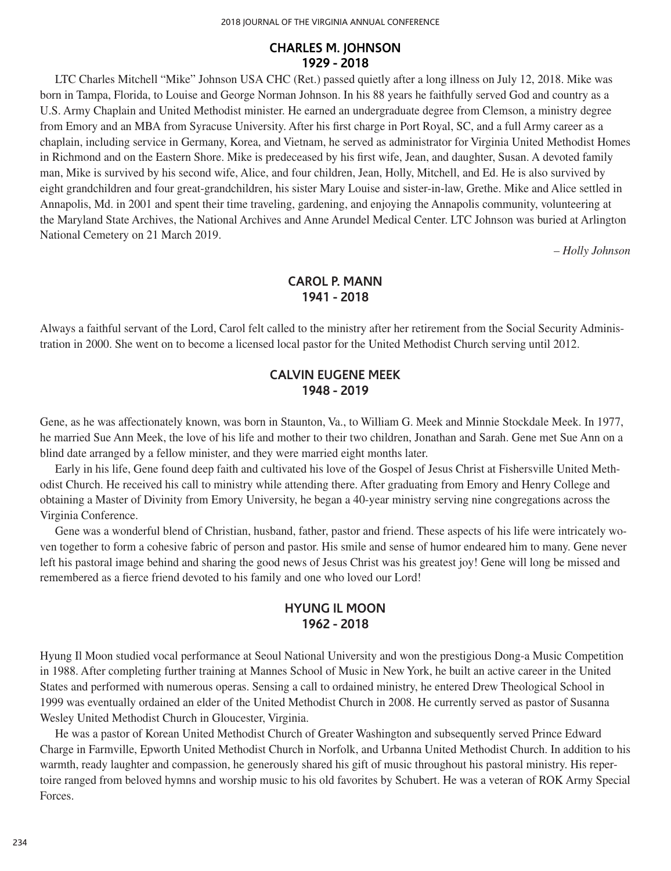#### **CHARLES M. JOHNSON 1929 - 2018**

LTC Charles Mitchell "Mike" Johnson USA CHC (Ret.) passed quietly after a long illness on July 12, 2018. Mike was born in Tampa, Florida, to Louise and George Norman Johnson. In his 88 years he faithfully served God and country as a U.S. Army Chaplain and United Methodist minister. He earned an undergraduate degree from Clemson, a ministry degree from Emory and an MBA from Syracuse University. After his first charge in Port Royal, SC, and a full Army career as a chaplain, including service in Germany, Korea, and Vietnam, he served as administrator for Virginia United Methodist Homes in Richmond and on the Eastern Shore. Mike is predeceased by his first wife, Jean, and daughter, Susan. A devoted family man, Mike is survived by his second wife, Alice, and four children, Jean, Holly, Mitchell, and Ed. He is also survived by eight grandchildren and four great-grandchildren, his sister Mary Louise and sister-in-law, Grethe. Mike and Alice settled in Annapolis, Md. in 2001 and spent their time traveling, gardening, and enjoying the Annapolis community, volunteering at the Maryland State Archives, the National Archives and Anne Arundel Medical Center. LTC Johnson was buried at Arlington National Cemetery on 21 March 2019.

*– Holly Johnson*

### **CAROL P. MANN 1941 - 2018**

Always a faithful servant of the Lord, Carol felt called to the ministry after her retirement from the Social Security Administration in 2000. She went on to become a licensed local pastor for the United Methodist Church serving until 2012.

### **CALVIN EUGENE MEEK 1948 - 2019**

Gene, as he was affectionately known, was born in Staunton, Va., to William G. Meek and Minnie Stockdale Meek. In 1977, he married Sue Ann Meek, the love of his life and mother to their two children, Jonathan and Sarah. Gene met Sue Ann on a blind date arranged by a fellow minister, and they were married eight months later.

Early in his life, Gene found deep faith and cultivated his love of the Gospel of Jesus Christ at Fishersville United Methodist Church. He received his call to ministry while attending there. After graduating from Emory and Henry College and obtaining a Master of Divinity from Emory University, he began a 40-year ministry serving nine congregations across the Virginia Conference.

Gene was a wonderful blend of Christian, husband, father, pastor and friend. These aspects of his life were intricately woven together to form a cohesive fabric of person and pastor. His smile and sense of humor endeared him to many. Gene never left his pastoral image behind and sharing the good news of Jesus Christ was his greatest joy! Gene will long be missed and remembered as a fierce friend devoted to his family and one who loved our Lord!

### **HYUNG IL MOON 1962 - 2018**

Hyung Il Moon studied vocal performance at Seoul National University and won the prestigious Dong-a Music Competition in 1988. After completing further training at Mannes School of Music in New York, he built an active career in the United States and performed with numerous operas. Sensing a call to ordained ministry, he entered Drew Theological School in 1999 was eventually ordained an elder of the United Methodist Church in 2008. He currently served as pastor of Susanna Wesley United Methodist Church in Gloucester, Virginia.

He was a pastor of Korean United Methodist Church of Greater Washington and subsequently served Prince Edward Charge in Farmville, Epworth United Methodist Church in Norfolk, and Urbanna United Methodist Church. In addition to his warmth, ready laughter and compassion, he generously shared his gift of music throughout his pastoral ministry. His repertoire ranged from beloved hymns and worship music to his old favorites by Schubert. He was a veteran of ROK Army Special Forces.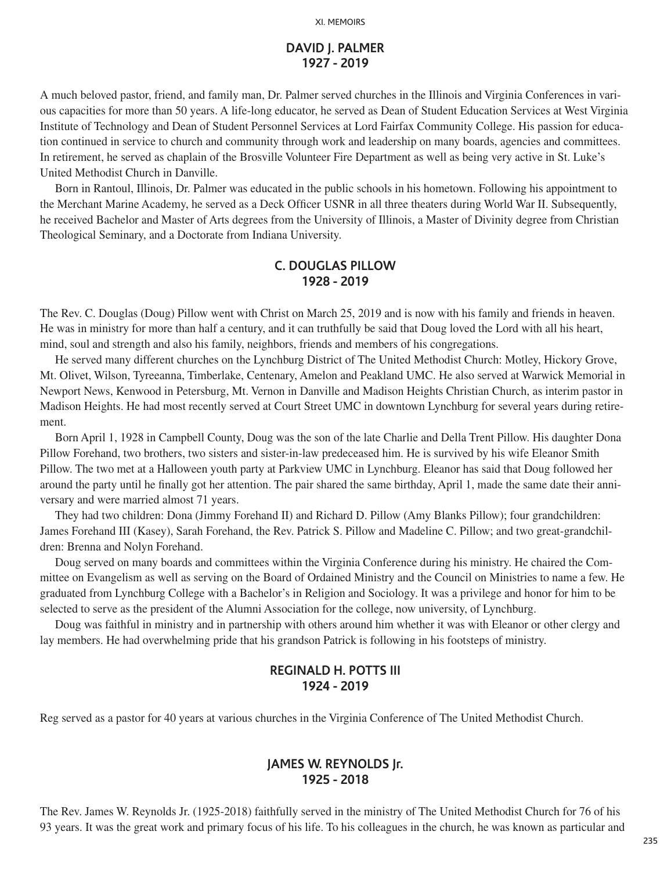### **DAVID J. PALMER 1927 - 2019**

A much beloved pastor, friend, and family man, Dr. Palmer served churches in the Illinois and Virginia Conferences in various capacities for more than 50 years. A life-long educator, he served as Dean of Student Education Services at West Virginia Institute of Technology and Dean of Student Personnel Services at Lord Fairfax Community College. His passion for education continued in service to church and community through work and leadership on many boards, agencies and committees. In retirement, he served as chaplain of the Brosville Volunteer Fire Department as well as being very active in St. Luke's United Methodist Church in Danville.

Born in Rantoul, Illinois, Dr. Palmer was educated in the public schools in his hometown. Following his appointment to the Merchant Marine Academy, he served as a Deck Officer USNR in all three theaters during World War II. Subsequently, he received Bachelor and Master of Arts degrees from the University of Illinois, a Master of Divinity degree from Christian Theological Seminary, and a Doctorate from Indiana University.

### **C. DOUGLAS PILLOW 1928 - 2019**

The Rev. C. Douglas (Doug) Pillow went with Christ on March 25, 2019 and is now with his family and friends in heaven. He was in ministry for more than half a century, and it can truthfully be said that Doug loved the Lord with all his heart, mind, soul and strength and also his family, neighbors, friends and members of his congregations.

He served many different churches on the Lynchburg District of The United Methodist Church: Motley, Hickory Grove, Mt. Olivet, Wilson, Tyreeanna, Timberlake, Centenary, Amelon and Peakland UMC. He also served at Warwick Memorial in Newport News, Kenwood in Petersburg, Mt. Vernon in Danville and Madison Heights Christian Church, as interim pastor in Madison Heights. He had most recently served at Court Street UMC in downtown Lynchburg for several years during retirement.

Born April 1, 1928 in Campbell County, Doug was the son of the late Charlie and Della Trent Pillow. His daughter Dona Pillow Forehand, two brothers, two sisters and sister-in-law predeceased him. He is survived by his wife Eleanor Smith Pillow. The two met at a Halloween youth party at Parkview UMC in Lynchburg. Eleanor has said that Doug followed her around the party until he finally got her attention. The pair shared the same birthday, April 1, made the same date their anniversary and were married almost 71 years.

They had two children: Dona (Jimmy Forehand II) and Richard D. Pillow (Amy Blanks Pillow); four grandchildren: James Forehand III (Kasey), Sarah Forehand, the Rev. Patrick S. Pillow and Madeline C. Pillow; and two great-grandchildren: Brenna and Nolyn Forehand.

Doug served on many boards and committees within the Virginia Conference during his ministry. He chaired the Committee on Evangelism as well as serving on the Board of Ordained Ministry and the Council on Ministries to name a few. He graduated from Lynchburg College with a Bachelor's in Religion and Sociology. It was a privilege and honor for him to be selected to serve as the president of the Alumni Association for the college, now university, of Lynchburg.

Doug was faithful in ministry and in partnership with others around him whether it was with Eleanor or other clergy and lay members. He had overwhelming pride that his grandson Patrick is following in his footsteps of ministry.

### **REGINALD H. POTTS III 1924 - 2019**

Reg served as a pastor for 40 years at various churches in the Virginia Conference of The United Methodist Church.

### **JAMES W. REYNOLDS Jr. 1925 - 2018**

The Rev. James W. Reynolds Jr. (1925-2018) faithfully served in the ministry of The United Methodist Church for 76 of his 93 years. It was the great work and primary focus of his life. To his colleagues in the church, he was known as particular and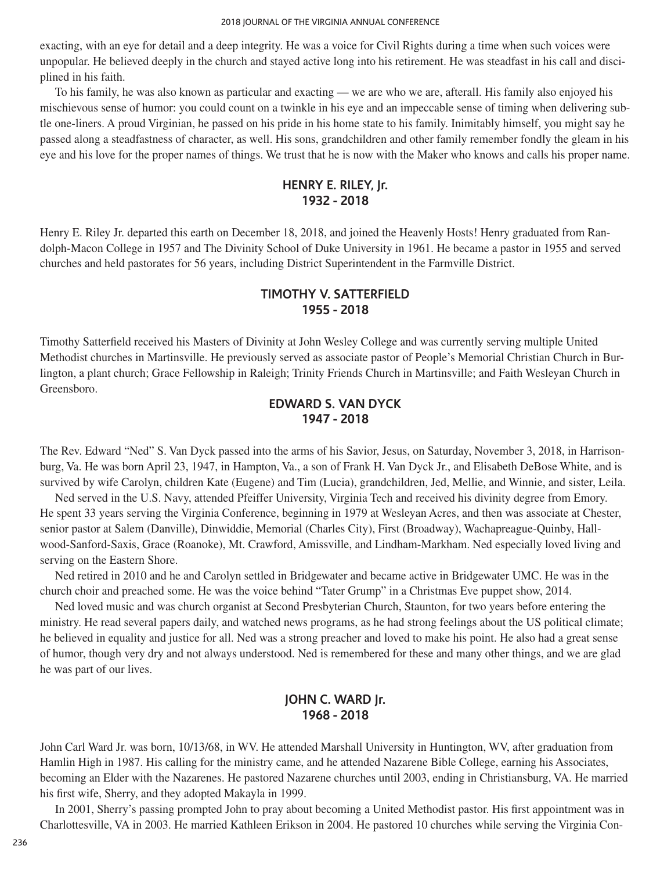exacting, with an eye for detail and a deep integrity. He was a voice for Civil Rights during a time when such voices were unpopular. He believed deeply in the church and stayed active long into his retirement. He was steadfast in his call and disciplined in his faith.

To his family, he was also known as particular and exacting — we are who we are, afterall. His family also enjoyed his mischievous sense of humor: you could count on a twinkle in his eye and an impeccable sense of timing when delivering subtle one-liners. A proud Virginian, he passed on his pride in his home state to his family. Inimitably himself, you might say he passed along a steadfastness of character, as well. His sons, grandchildren and other family remember fondly the gleam in his eye and his love for the proper names of things. We trust that he is now with the Maker who knows and calls his proper name.

### **HENRY E. RILEY, Jr. 1932 - 2018**

Henry E. Riley Jr. departed this earth on December 18, 2018, and joined the Heavenly Hosts! Henry graduated from Randolph-Macon College in 1957 and The Divinity School of Duke University in 1961. He became a pastor in 1955 and served churches and held pastorates for 56 years, including District Superintendent in the Farmville District.

### **TIMOTHY V. SATTERFIELD 1955 - 2018**

Timothy Satterfield received his Masters of Divinity at John Wesley College and was currently serving multiple United Methodist churches in Martinsville. He previously served as associate pastor of People's Memorial Christian Church in Burlington, a plant church; Grace Fellowship in Raleigh; Trinity Friends Church in Martinsville; and Faith Wesleyan Church in Greensboro.

### **EDWARD S. VAN DYCK 1947 - 2018**

The Rev. Edward "Ned" S. Van Dyck passed into the arms of his Savior, Jesus, on Saturday, November 3, 2018, in Harrisonburg, Va. He was born April 23, 1947, in Hampton, Va., a son of Frank H. Van Dyck Jr., and Elisabeth DeBose White, and is survived by wife Carolyn, children Kate (Eugene) and Tim (Lucia), grandchildren, Jed, Mellie, and Winnie, and sister, Leila.

Ned served in the U.S. Navy, attended Pfeiffer University, Virginia Tech and received his divinity degree from Emory. He spent 33 years serving the Virginia Conference, beginning in 1979 at Wesleyan Acres, and then was associate at Chester, senior pastor at Salem (Danville), Dinwiddie, Memorial (Charles City), First (Broadway), Wachapreague-Quinby, Hallwood-Sanford-Saxis, Grace (Roanoke), Mt. Crawford, Amissville, and Lindham-Markham. Ned especially loved living and serving on the Eastern Shore.

Ned retired in 2010 and he and Carolyn settled in Bridgewater and became active in Bridgewater UMC. He was in the church choir and preached some. He was the voice behind "Tater Grump" in a Christmas Eve puppet show, 2014.

Ned loved music and was church organist at Second Presbyterian Church, Staunton, for two years before entering the ministry. He read several papers daily, and watched news programs, as he had strong feelings about the US political climate; he believed in equality and justice for all. Ned was a strong preacher and loved to make his point. He also had a great sense of humor, though very dry and not always understood. Ned is remembered for these and many other things, and we are glad he was part of our lives.

### **JOHN C. WARD Jr. 1968 - 2018**

John Carl Ward Jr. was born, 10/13/68, in WV. He attended Marshall University in Huntington, WV, after graduation from Hamlin High in 1987. His calling for the ministry came, and he attended Nazarene Bible College, earning his Associates, becoming an Elder with the Nazarenes. He pastored Nazarene churches until 2003, ending in Christiansburg, VA. He married his first wife, Sherry, and they adopted Makayla in 1999.

In 2001, Sherry's passing prompted John to pray about becoming a United Methodist pastor. His first appointment was in Charlottesville, VA in 2003. He married Kathleen Erikson in 2004. He pastored 10 churches while serving the Virginia Con-